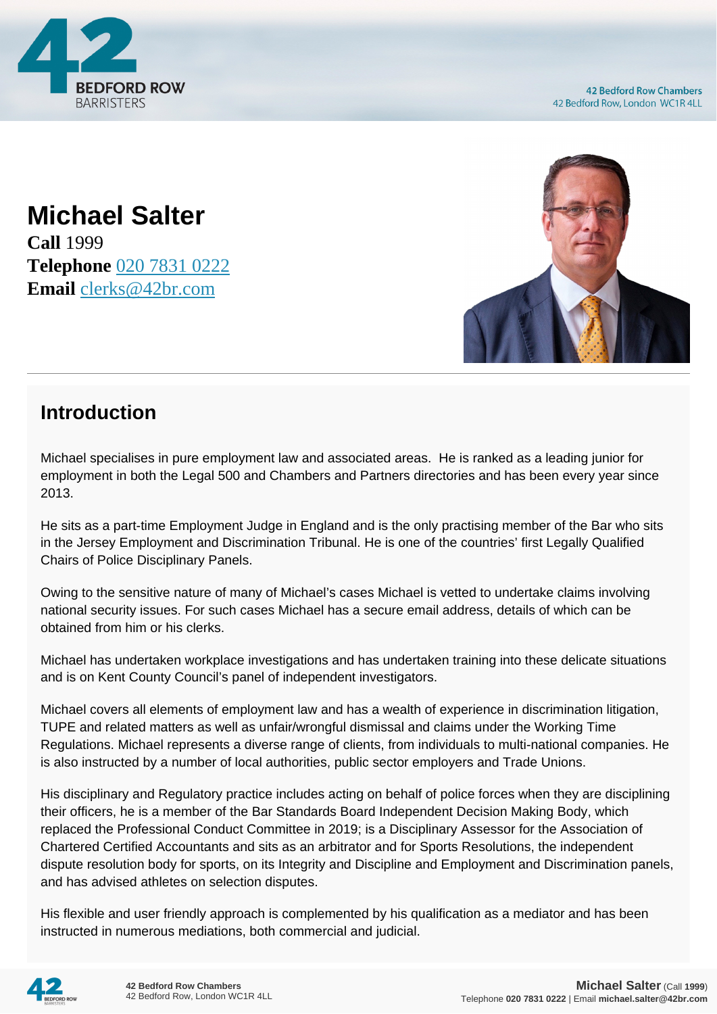

**Michael Salter Call** 1999 **Telephone** [020 7831 0222](https://pdf.codeshore.co/_42br/tel:020 7831 0222) **Email** [clerks@42br.com](mailto:clerks@42br.com)



#### **Introduction**

Michael specialises in pure employment law and associated areas. He is ranked as a leading junior for employment in both the Legal 500 and Chambers and Partners directories and has been every year since 2013.

He sits as a part-time Employment Judge in England and is the only practising member of the Bar who sits in the Jersey Employment and Discrimination Tribunal. He is one of the countries' first Legally Qualified Chairs of Police Disciplinary Panels.

Owing to the sensitive nature of many of Michael's cases Michael is vetted to undertake claims involving national security issues. For such cases Michael has a secure email address, details of which can be obtained from him or his clerks.

Michael has undertaken workplace investigations and has undertaken training into these delicate situations and is on Kent County Council's panel of independent investigators.

Michael covers all elements of employment law and has a wealth of experience in discrimination litigation, TUPE and related matters as well as unfair/wrongful dismissal and claims under the Working Time Regulations. Michael represents a diverse range of clients, from individuals to multi-national companies. He is also instructed by a number of local authorities, public sector employers and Trade Unions.

His disciplinary and Regulatory practice includes acting on behalf of police forces when they are disciplining their officers, he is a member of the Bar Standards Board Independent Decision Making Body, which replaced the Professional Conduct Committee in 2019; is a Disciplinary Assessor for the Association of Chartered Certified Accountants and sits as an arbitrator and for Sports Resolutions, the independent dispute resolution body for sports, on its Integrity and Discipline and Employment and Discrimination panels, and has advised athletes on selection disputes.

His flexible and user friendly approach is complemented by his qualification as a mediator and has been instructed in numerous mediations, both commercial and judicial.

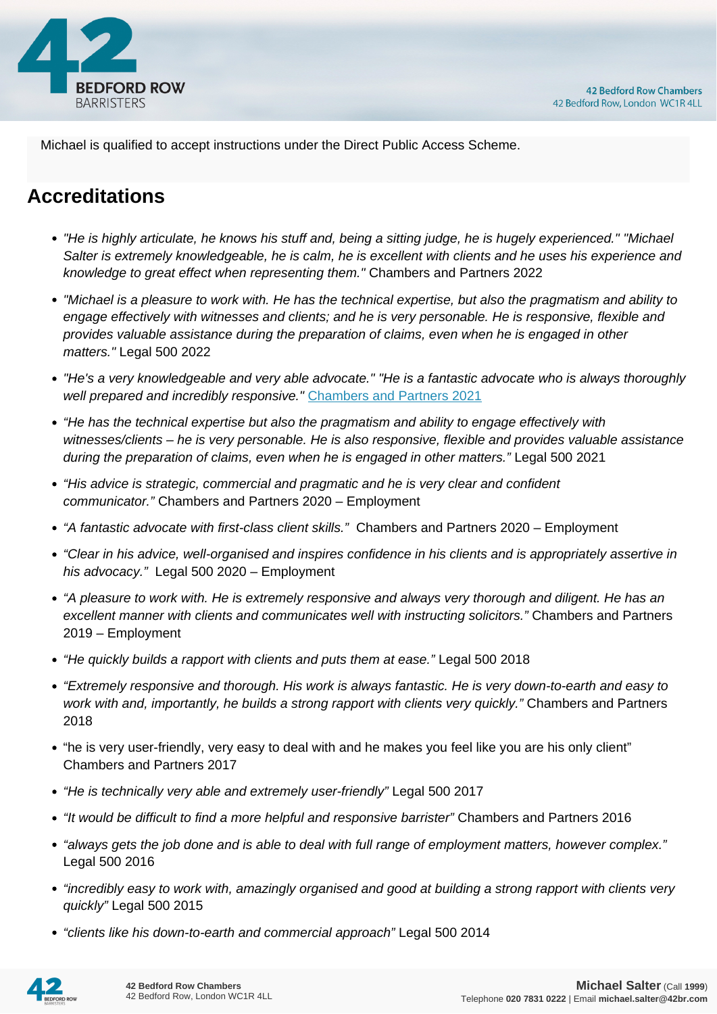

Michael is qualified to accept instructions under the Direct Public Access Scheme.

# **Accreditations**

- "He is highly articulate, he knows his stuff and, being a sitting judge, he is hugely experienced." "Michael Salter is extremely knowledgeable, he is calm, he is excellent with clients and he uses his experience and knowledge to great effect when representing them." Chambers and Partners 2022
- "Michael is a pleasure to work with. He has the technical expertise, but also the pragmatism and ability to engage effectively with witnesses and clients; and he is very personable. He is responsive, flexible and provides valuable assistance during the preparation of claims, even when he is engaged in other matters." Legal 500 2022
- "He's a very knowledgeable and very able advocate." "He is a fantastic advocate who is always thoroughly well prepared and incredibly responsive." [Chambers and Partners 2021](https://chambers.com/lawyer/michael-salter-uk-bar-14:531202)
- "He has the technical expertise but also the pragmatism and ability to engage effectively with witnesses/clients – he is very personable. He is also responsive, flexible and provides valuable assistance during the preparation of claims, even when he is engaged in other matters." Legal 500 2021
- "His advice is strategic, commercial and pragmatic and he is very clear and confident communicator." Chambers and Partners 2020 – Employment
- "A fantastic advocate with first-class client skills." Chambers and Partners 2020 Employment
- "Clear in his advice, well-organised and inspires confidence in his clients and is appropriately assertive in his advocacy." Legal 500 2020 – Employment
- "A pleasure to work with. He is extremely responsive and always very thorough and diligent. He has an excellent manner with clients and communicates well with instructing solicitors." Chambers and Partners 2019 – Employment
- "He quickly builds a rapport with clients and puts them at ease." Legal 500 2018
- "Extremely responsive and thorough. His work is always fantastic. He is very down-to-earth and easy to work with and, importantly, he builds a strong rapport with clients very quickly." Chambers and Partners 2018
- "he is very user-friendly, very easy to deal with and he makes you feel like you are his only client" Chambers and Partners 2017
- "He is technically very able and extremely user-friendly" Legal 500 2017
- "It would be difficult to find a more helpful and responsive barrister" Chambers and Partners 2016
- "always gets the job done and is able to deal with full range of employment matters, however complex." Legal 500 2016
- "incredibly easy to work with, amazingly organised and good at building a strong rapport with clients very quickly" Legal 500 2015
- "clients like his down-to-earth and commercial approach" Legal 500 2014